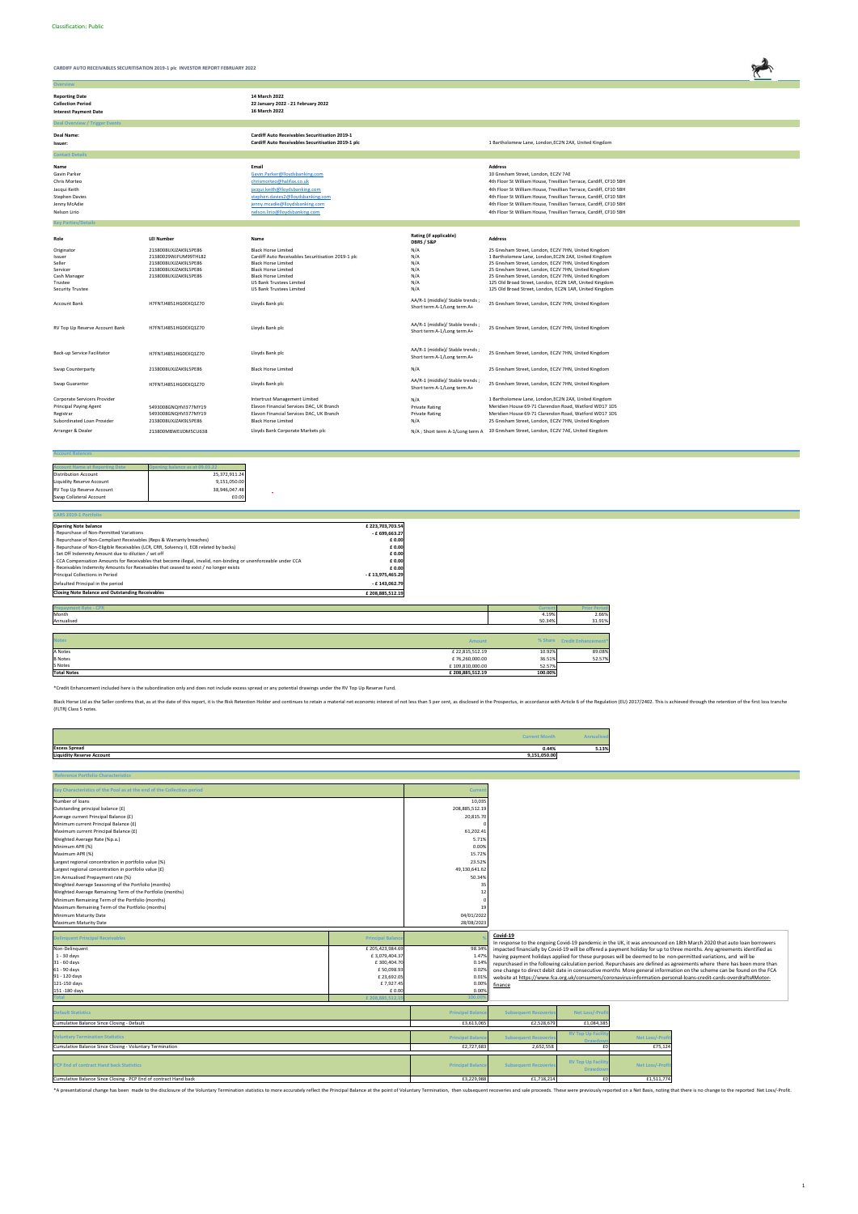**Overvie** 

**CARDIFF AUTO RECEIVABLES SECURITISATION 2019-1 plc INVESTOR REPORT FEBRUARY 2022**



| 14 March 2022<br>22 January 2022 - 21 February 2022<br>16 March 2022                                                                                                                                                               |                                                                |                                                                                                                                                                                                                                                                                                                                                                                                                |
|------------------------------------------------------------------------------------------------------------------------------------------------------------------------------------------------------------------------------------|----------------------------------------------------------------|----------------------------------------------------------------------------------------------------------------------------------------------------------------------------------------------------------------------------------------------------------------------------------------------------------------------------------------------------------------------------------------------------------------|
|                                                                                                                                                                                                                                    |                                                                |                                                                                                                                                                                                                                                                                                                                                                                                                |
| <b>Cardiff Auto Receivables Securitisation 2019-1</b><br>Cardiff Auto Receivables Securitisation 2019-1 plc                                                                                                                        |                                                                | 1 Bartholomew Lane, London, EC2N 2AX, United Kingdom                                                                                                                                                                                                                                                                                                                                                           |
|                                                                                                                                                                                                                                    |                                                                |                                                                                                                                                                                                                                                                                                                                                                                                                |
| Email<br>Gavin.Parker@lloydsbanking.com<br>chrismorteo@halifax.co.uk<br>jacqui.keith@lloydsbanking.com<br>stephen.davies2@lloydsbanking.com<br>jenny.mcadie@lloydsbanking.com<br>nelson.lirio@lloydsbanking.com                    |                                                                | <b>Address</b><br>10 Gresham Street, London, EC2V 7AE<br>4th Floor St William House, Tresillian Terrace, Cardiff, CF10 5BH<br>4th Floor St William House, Tresillian Terrace, Cardiff, CF10 5BH<br>4th Floor St William House, Tresillian Terrace, Cardiff, CF10 5BH<br>4th Floor St William House, Tresillian Terrace, Cardiff, CF10 5BH<br>4th Floor St William House, Tresillian Terrace, Cardiff, CF10 5BH |
|                                                                                                                                                                                                                                    |                                                                |                                                                                                                                                                                                                                                                                                                                                                                                                |
| Name                                                                                                                                                                                                                               | Rating (if applicable)<br>DBRS / S&P                           | <b>Address</b>                                                                                                                                                                                                                                                                                                                                                                                                 |
| <b>Black Horse Limited</b><br>Cardiff Auto Receivables Securitisation 2019-1 plc<br><b>Black Horse Limited</b><br><b>Black Horse Limited</b><br><b>Black Horse Limited</b><br>US Bank Trustees Limited<br>US Bank Trustees Limited | N/A<br>N/A<br>N/A<br>N/A<br>N/A<br>N/A<br>N/A                  | 25 Gresham Street, London, EC2V 7HN, United Kingdom<br>1 Bartholomew Lane, London, EC2N 2AX, United Kingdom<br>25 Gresham Street, London, EC2V 7HN, United Kingdom<br>25 Gresham Street, London, EC2V 7HN, United Kingdom<br>25 Gresham Street, London, EC2V 7HN, United Kingdom<br>125 Old Broad Street, London, EC2N 1AR, United Kingdom<br>125 Old Broad Street, London, EC2N 1AR, United Kingdom           |
| Lloyds Bank plc                                                                                                                                                                                                                    | AA/R-1 (middle)/ Stable trends;<br>Short term A-1/Long term A+ | 25 Gresham Street, London, EC2V 7HN, United Kingdom                                                                                                                                                                                                                                                                                                                                                            |
| Lloyds Bank plc                                                                                                                                                                                                                    | AA/R-1 (middle)/ Stable trends;<br>Short term A-1/Long term A+ | 25 Gresham Street, London, EC2V 7HN, United Kingdom                                                                                                                                                                                                                                                                                                                                                            |
| Lloyds Bank plc                                                                                                                                                                                                                    | AA/R-1 (middle)/ Stable trends;<br>Short term A-1/Long term A+ | 25 Gresham Street, London, EC2V 7HN, United Kingdom                                                                                                                                                                                                                                                                                                                                                            |
| <b>Black Horse Limited</b>                                                                                                                                                                                                         | N/A                                                            | 25 Gresham Street, London, EC2V 7HN, United Kingdom                                                                                                                                                                                                                                                                                                                                                            |
| Lloyds Bank plc                                                                                                                                                                                                                    | AA/R-1 (middle)/ Stable trends;<br>Short term A-1/Long term A+ | 25 Gresham Street, London, EC2V 7HN, United Kingdom                                                                                                                                                                                                                                                                                                                                                            |
| <b>Intertrust Management Limited</b><br>Elavon Financial Services DAC, UK Branch<br>Elavon Financial Services DAC, UK Branch<br><b>Black Horse Limited</b><br>Lloyds Bank Corporate Markets plc                                    | N/A<br><b>Private Rating</b><br><b>Private Rating</b><br>N/A   | 1 Bartholomew Lane, London, EC2N 2AX, United Kingdom<br>Meridien House 69-71 Clarendon Road, Watford WD17 1DS<br>Meridien House 69-71 Clarendon Road, Watford WD17 1DS<br>25 Gresham Street, London, EC2V 7HN, United Kingdom<br>N/A ; Short term A-1/Long term A 10 Gresham Street, London, EC2V 7AE, United Kingdom                                                                                          |
|                                                                                                                                                                                                                                    |                                                                |                                                                                                                                                                                                                                                                                                                                                                                                                |

#### **Account Balances**

| <b>Account Name at Reporting Date</b> | ing balance as at 09.03.22 |
|---------------------------------------|----------------------------|
| <b>Distribution Account</b>           | 25.372.911.24              |
| Liquidity Reserve Account             | 9.151.050.00               |
| RV Top Up Reserve Account             | 38.946.047.48              |
| Swap Collateral Account               | £0.00                      |

| <b>CARS 2019-1 Portfolio</b>                                                                                    |                  |  |
|-----------------------------------------------------------------------------------------------------------------|------------------|--|
| <b>Opening Note balance</b>                                                                                     | £223,703,703.54  |  |
| - Repurchase of Non-Permitted Variations                                                                        | $-$ £ 699,663.27 |  |
| - Repurchase of Non-Compliant Receivables (Reps & Warranty breaches)                                            | £0.00            |  |
| - Repurchase of Non-Eligible Receivables (LCR, CRR, Solvency II, ECB related by backs)                          | £0.00            |  |
| - Set Off Indemnity Amount due to dilution / set off                                                            | £0.00            |  |
| - CCA Compensation Amounts for Receivables that become illegal, invalid, non-binding or unenforceable under CCA | £0.00            |  |
| - Receivables Indemnity Amounts for Receivables that ceased to exist / no longer exists                         | £0.00            |  |
| Principal Collections in Period                                                                                 | - £13,975,465.29 |  |
| Defaulted Principal in the period                                                                               | - £143.062.79    |  |
| <b>Closing Note Balance and Outstanding Receivables</b>                                                         | £208,885,512.19  |  |
|                                                                                                                 |                  |  |
| <b>Prepayment Rate - CPR</b>                                                                                    |                  |  |

| Month                                 | 4.19%   | 2.66%                       |
|---------------------------------------|---------|-----------------------------|
| Annualised                            | 50.34%  | 31.91%                      |
|                                       |         |                             |
| <b>Notes</b><br>Amount                |         | % Share Credit Enhancement* |
| A Notes<br>£22,815,512.19             | 10.92%  | 89.08%                      |
| £76,260,000.00<br><b>B</b> Notes      | 36.51%  | 52.57%                      |
| S Notes<br>£109,810,000.00            | 52.57%  |                             |
| <b>Total Notes</b><br>£208,885,512.19 | 100.00% |                             |

|                                  | <b>Current Month</b> |       |
|----------------------------------|----------------------|-------|
| <b>Excess Spread</b>             | 0.44%                | 5.13% |
| <b>Liquidity Reserve Account</b> | 9,151,050.00         |       |
|                                  |                      |       |

| Key Characteristics of the Pool as at the end of the Collection period |                          | Curren                   |                              |                                            |                       |                                                                                                                         |
|------------------------------------------------------------------------|--------------------------|--------------------------|------------------------------|--------------------------------------------|-----------------------|-------------------------------------------------------------------------------------------------------------------------|
| Number of loans                                                        |                          | 10,035                   |                              |                                            |                       |                                                                                                                         |
| Outstanding principal balance (£)                                      |                          | 208,885,512.19           |                              |                                            |                       |                                                                                                                         |
| Average current Principal Balance (£)                                  |                          | 20,815.70                |                              |                                            |                       |                                                                                                                         |
| Minimum current Principal Balance (£)                                  |                          |                          |                              |                                            |                       |                                                                                                                         |
| Maximum current Principal Balance (£)                                  |                          | 61,202.41                |                              |                                            |                       |                                                                                                                         |
| Weighted Average Rate (%p.a.)                                          |                          | 5.71%                    |                              |                                            |                       |                                                                                                                         |
| Minimum APR (%)                                                        |                          | 0.00%                    |                              |                                            |                       |                                                                                                                         |
| Maximum APR (%)                                                        |                          | 15.72%                   |                              |                                            |                       |                                                                                                                         |
| Largest regional concentration in portfolio value (%)                  |                          | 23.52%                   |                              |                                            |                       |                                                                                                                         |
| Largest regional concentration in portfolio value (£)                  |                          | 49,130,641.62            |                              |                                            |                       |                                                                                                                         |
| 1m Annualised Prepayment rate (%)                                      |                          | 50.34%                   |                              |                                            |                       |                                                                                                                         |
| Weighted Average Seasoning of the Portfolio (months)                   |                          | 35                       |                              |                                            |                       |                                                                                                                         |
| Weighted Average Remaining Term of the Portfolio (months)              |                          | 12                       |                              |                                            |                       |                                                                                                                         |
| Minimum Remaining Term of the Portfolio (months)                       |                          |                          |                              |                                            |                       |                                                                                                                         |
| Maximum Remaining Term of the Portfolio (months)                       |                          | 19                       |                              |                                            |                       |                                                                                                                         |
| Minimum Maturity Date                                                  |                          | 04/01/2022               |                              |                                            |                       |                                                                                                                         |
| Maximum Maturity Date                                                  |                          | 28/08/2023               |                              |                                            |                       |                                                                                                                         |
|                                                                        |                          |                          | Covid-19                     |                                            |                       |                                                                                                                         |
| <b>Delinquent Principal Receivables</b>                                | <b>Principal Balance</b> |                          |                              |                                            |                       | In response to the ongoing Covid-19 pandemic in the UK, it was announced on 18th March 2020 that auto loan borrowers    |
| Non-Delinquent                                                         | £ 205,423,984.69         | 98.34%                   |                              |                                            |                       | impacted financially by Covid-19 will be offered a payment holiday for up to three months. Any agreements identified as |
| $1 - 30$ days                                                          | £3,079,404.37            | 1.47%                    |                              |                                            |                       | having payment holidays applied for these purposes will be deemed to be non-permitted variations, and will be           |
| 31 - 60 days                                                           | £300,404.70              | 0.14%                    |                              |                                            |                       | repurchased in the following calculation period. Repurchases are defined as agreements where there has been more than   |
| 61 - 90 days                                                           |                          |                          |                              |                                            |                       |                                                                                                                         |
|                                                                        | £50,098.93               | 0.029                    |                              |                                            |                       | one change to direct debit date in consecutive months More general information on the scheme can be found on the FCA    |
| 91 - 120 days                                                          | £23,692.05               | 0.019                    |                              |                                            |                       | website at https://www.fca.org.uk/consumers/coronavirus-information-personal-loans-credit-cards-overdrafts#Motor-       |
| 121-150 days                                                           | £7,927.45                | 0.00%                    | finance                      |                                            |                       |                                                                                                                         |
| 151 -180 days                                                          | £0.00                    | 0.00%                    |                              |                                            |                       |                                                                                                                         |
|                                                                        | £208.885.512             | 100.0                    |                              |                                            |                       |                                                                                                                         |
| <b>Default Statistics</b>                                              |                          | <b>Principal Balance</b> | <b>Subsequent Recoveries</b> | <b>Net Loss/-Prof</b>                      |                       |                                                                                                                         |
| Cumulative Balance Since Closing - Default                             |                          | £3,613,065               | £2,528,679                   | £1,084,385                                 |                       |                                                                                                                         |
|                                                                        |                          |                          |                              | <b>RV Top Up Facil</b>                     |                       |                                                                                                                         |
| <b>Oluntary Termination Statistics</b>                                 |                          | <b>Principal Baland</b>  | <b>Subsequent Recoverie</b>  | Draw                                       | <b>Net Loss/-Prof</b> |                                                                                                                         |
| Cumulative Balance Since Closing - Voluntary Termination               |                          | £2,727,683               | 2,652,558                    | £0                                         | £75,124               |                                                                                                                         |
| <b>PCP End of contract Hand back Statistics</b>                        |                          | <b>Principal Baland</b>  | <b>Subsequent Recoverie</b>  | <b>RV Top Up Facilit</b><br><b>Drawdow</b> | <b>Net Loss/-Prof</b> |                                                                                                                         |
| Cumulative Balance Since Closing - PCP End of contract Hand back       |                          | £3,229,988               | £1,718,214                   | £0                                         | £1,511,774            |                                                                                                                         |

\*A presentational change has been made to the disclosure of the Voluntary Termination statistics to more accurately reflect the Principal Balance at the point of Voluntary Termination, then subsequent recoveries and sale p

# \*Credit Enhancement included here is the subordination only and does not include excess spread or any potential drawings under the RV Top Up Reserve Fund.

Black Horse Ltd as the Seller confirms that, as at the date of this report, it is the Risk Retention Holder and continues to retain a material net economic interest of not less than 5 per cent, as disclosed in the Prospect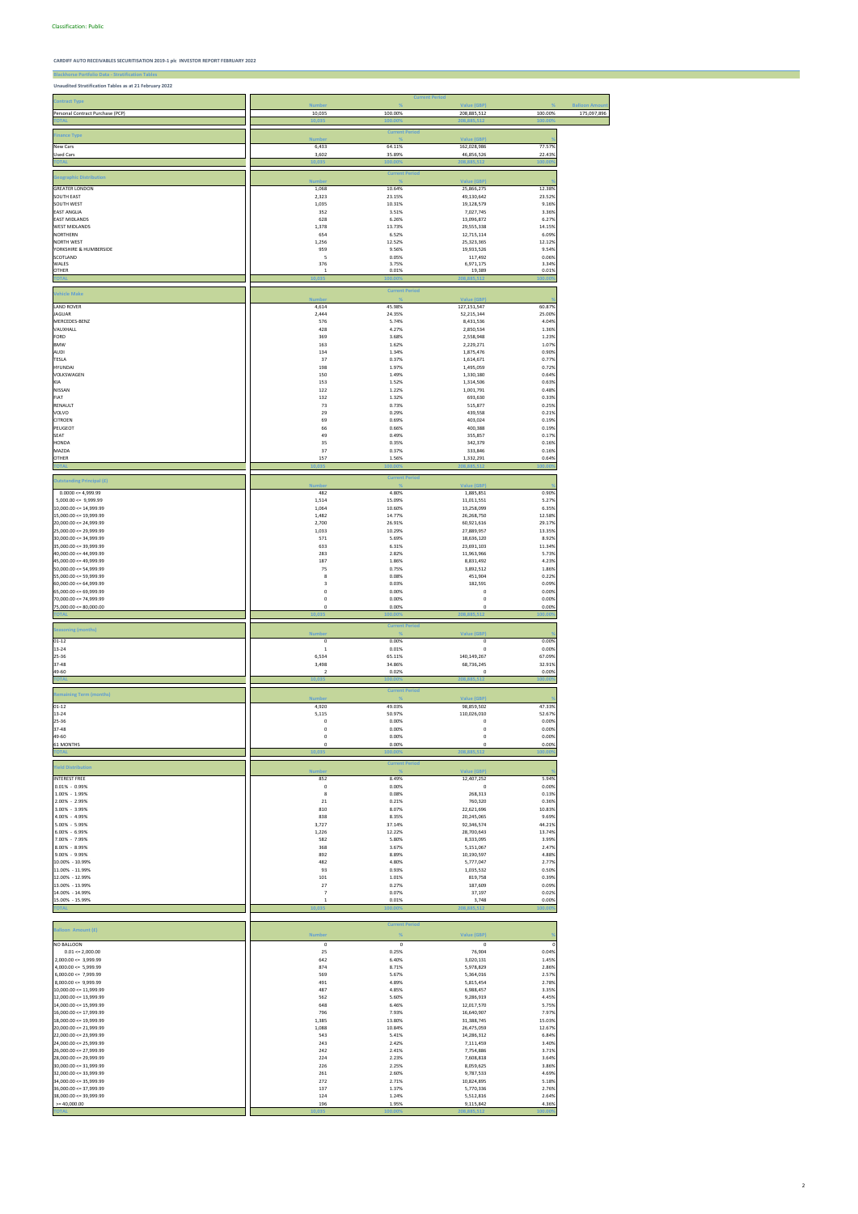# **Blackhorse Portfolio Data - Stratification Tables Unaudited Stratification Tables as at 21 February 2022**

|                                                     |                         | <b>Current Period</b> |                            |                 |                      |
|-----------------------------------------------------|-------------------------|-----------------------|----------------------------|-----------------|----------------------|
| <b>Contract Type</b>                                | <b>Number</b>           |                       | <b>Value (GBP)</b>         |                 | <b>Balloon Amoun</b> |
| Personal Contract Purchase (PCP)                    | 10,035                  | 100.00%               | 208,885,512                | 100.00%         | 175,097,896          |
| <b>TOTAL</b>                                        | 10,035                  | 100.009               | 208,885,512                | 100.00          |                      |
|                                                     |                         | <b>Current Period</b> |                            |                 |                      |
| <b>Finance Type</b>                                 | <b>Numbe</b>            |                       | <b>Value (GBP)</b>         |                 |                      |
| New Cars                                            | 6,433                   | 64.11%                | 162,028,986                | 77.57%          |                      |
| Used Cars                                           | 3,602                   | 35.89%                | 46,856,526                 | 22.43%          |                      |
| <b>OTA</b>                                          | 10,035                  | 100.00                | 208.885.51                 | 100.00          |                      |
|                                                     |                         | <b>Current Period</b> |                            |                 |                      |
| <b>Geographic Distribution</b>                      | <b>Number</b>           |                       | <b>Value (GBP)</b>         |                 |                      |
| <b>GREATER LONDON</b>                               | 1,068                   | 10.64%                | 25,866,275                 | 12.38%          |                      |
| <b>SOUTH EAST</b>                                   | 2,323                   | 23.15%                | 49,130,642                 | 23.52%          |                      |
| SOUTH WEST                                          | 1,035                   | 10.31%                | 19,128,579                 | 9.16%           |                      |
| <b>EAST ANGLIA</b>                                  | 352                     | 3.51%                 | 7,027,745                  | 3.36%           |                      |
| <b>EAST MIDLANDS</b>                                | 628                     | 6.26%                 | 13,096,872                 | 6.27%           |                      |
| <b>WEST MIDLANDS</b><br>NORTHERN                    | 1,378<br>654            | 13.73%<br>6.52%       | 29,555,338                 | 14.15%<br>6.09% |                      |
| <b>NORTH WEST</b>                                   | 1,256                   | 12.52%                | 12,715,114<br>25,323,365   | 12.12%          |                      |
| YORKSHIRE & HUMBERSIDE                              | 959                     | 9.56%                 | 19,933,526                 | 9.54%           |                      |
| SCOTLAND                                            | 5                       | 0.05%                 | 117,492                    | 0.06%           |                      |
| WALES                                               | 376                     | 3.75%                 | 6,971,175                  | 3.34%           |                      |
| <b>OTHER</b>                                        | $\mathbf{1}$            | 0.01%                 | 19,389                     | 0.01%           |                      |
| <b>TOTA</b>                                         | 10,035                  | 00.00                 | 885,51<br>208              | 100.00          |                      |
|                                                     |                         | <b>Current Period</b> |                            |                 |                      |
| <b>Vehicle Make</b>                                 | <b>Number</b>           |                       | <b>Value (GBP)</b>         |                 |                      |
| <b>LAND ROVER</b>                                   | 4,614                   | 45.98%                | 127, 151, 547              | 60.87%          |                      |
| JAGUAR                                              | 2,444                   | 24.35%                | 52,215,144                 | 25.00%          |                      |
| MERCEDES-BENZ                                       | 576                     | 5.74%                 | 8,431,536                  | 4.04%           |                      |
| VAUXHALL                                            | 428                     | 4.27%                 | 2,850,534                  | 1.36%           |                      |
| FORD                                                | 369                     | 3.68%                 | 2,558,948                  | 1.23%           |                      |
| <b>BMW</b><br>AUDI                                  | 163<br>134              | 1.62%<br>1.34%        | 2,229,271<br>1,875,476     | 1.07%<br>0.90%  |                      |
| TESLA                                               | 37                      | 0.37%                 | 1,614,671                  | 0.77%           |                      |
| <b>HYUNDAI</b>                                      | 198                     | 1.97%                 | 1,495,059                  | 0.72%           |                      |
| VOLKSWAGEN                                          | 150                     | 1.49%                 | 1,330,180                  | 0.64%           |                      |
| KIA                                                 | 153                     | 1.52%                 | 1,314,506                  | 0.63%           |                      |
| NISSAN                                              | 122                     | 1.22%                 | 1,001,791                  | 0.48%           |                      |
| FIAT                                                | 132                     | 1.32%                 | 693,630                    | 0.33%           |                      |
| RENAULT                                             | 73                      | 0.73%                 | 515,877                    | 0.25%           |                      |
| VOLVO                                               | 29                      | 0.29%                 | 439,558                    | 0.21%           |                      |
| <b>CITROEN</b>                                      | 69                      | 0.69%<br>0.66%        | 403,024                    | 0.19%           |                      |
| PEUGEOT<br>SEAT                                     | 66<br>49                | 0.49%                 | 400,388<br>355,857         | 0.19%<br>0.17%  |                      |
| <b>HONDA</b>                                        | 35                      | 0.35%                 | 342,379                    | 0.16%           |                      |
| MAZDA                                               | 37                      | 0.37%                 | 333,846                    | 0.16%           |                      |
| <b>OTHER</b>                                        | 157                     | 1.56%                 | 1,332,291                  | 0.64%           |                      |
| <b>TOTA</b>                                         | 10,035                  | 100.00                | 208,885,512                | 100.00          |                      |
|                                                     |                         | <b>Current Period</b> |                            |                 |                      |
| <b>Outstanding Principal (£)</b>                    | <b>Number</b>           |                       | <b>Value (GBP)</b>         |                 |                      |
| $0.0000 \le 4,999.99$                               | 482                     | 4.80%                 | 1,885,851                  | 0.90%           |                      |
| $5,000.00 \leq 9,999.99$                            | 1,514                   | 15.09%                | 11,011,551                 | 5.27%           |                      |
| $10,000.00 \le 14,999.99$                           | 1,064                   | 10.60%                | 13,258,099                 | 6.35%           |                      |
| 15,000.00 <= 19,999.99                              | 1,482                   | 14.77%                | 26,268,750                 | 12.58%          |                      |
| $20,000.00 \le 24,999.99$                           | 2,700                   | 26.91%                | 60,921,616                 | 29.17%          |                      |
| $25,000.00 \le 29,999.99$<br>30,000.00 <= 34,999.99 | 1,033<br>571            | 10.29%<br>5.69%       | 27,889,957<br>18,636,120   | 13.35%<br>8.92% |                      |
| $35,000.00 \leq 39,999.99$                          | 633                     | 6.31%                 | 23,691,103                 | 11.34%          |                      |
| $40,000.00 \le 44,999.99$                           | 283                     | 2.82%                 | 11,963,966                 | 5.73%           |                      |
| 45,000.00 <= 49,999.99                              | 187                     | 1.86%                 | 8,831,492                  | 4.23%           |                      |
| $50,000.00 \leq 54,999.99$                          | 75                      | 0.75%                 | 3,892,512                  | 1.86%           |                      |
| $55,000.00 \le 59,999.99$                           | 8                       | 0.08%                 | 451,904                    | 0.22%           |                      |
| $60,000.00 \le 64,999.99$                           | $\overline{\mathbf{3}}$ | 0.03%                 | 182,591                    | 0.09%           |                      |
| $65,000.00 \le 69,999.99$                           | $\pmb{0}$               | 0.00%                 | $\mathbf 0$                | 0.00%           |                      |
| $70,000.00 \le 74,999.99$                           | $\pmb{0}$               | 0.00%                 | $\mathbf 0$                | 0.00%           |                      |
| $75,000.00 \le 80,000.00$                           | $\mathsf 0$<br>10.035   | 0.00%<br>00.009       | $\mathsf 0$                | 0.00%<br>100.00 |                      |
|                                                     |                         |                       |                            |                 |                      |
| <b>Seasoning (months)</b>                           |                         | <b>Current Period</b> |                            |                 |                      |
| $01 - 12$                                           | Number<br>$\pmb{0}$     | 0.00%                 | Value (GBP)<br>$\pmb{0}$   | 0.00%           |                      |
| 13-24                                               | $\mathbf{1}$            | 0.01%                 | 0                          | 0.00%           |                      |
| 25-36                                               | 6,534                   | 65.11%                | 140,149,267                | 67.09%          |                      |
| 37-48                                               | 3,498                   | 34.86%                | 68,736,245                 | 32.91%          |                      |
| 49-60                                               | $\overline{2}$          | 0.02%                 | $\mathbf 0$                | 0.00%           |                      |
| <b>TOTA</b>                                         | 10,035                  | 100.00                | 208,885,512                | 100.00          |                      |
| <b>Remaining Term (months)</b>                      |                         | <b>Current Period</b> |                            |                 |                      |
|                                                     | <b>Number</b>           |                       | <b>Value (GBP)</b>         |                 |                      |
| $01 - 12$                                           | 4,920                   | 49.03%                | 98,859,502                 | 47.33%          |                      |
| 13-24                                               | 5,115                   | 50.97%                | 110,026,010<br>$\mathbf 0$ | 52.67%          |                      |
| 25-36<br>37-48                                      | $\pmb{0}$<br>$\pmb{0}$  | 0.00%<br>0.00%        | $\pmb{0}$                  | 0.00%<br>0.00%  |                      |
| 49-60                                               | $\pmb{0}$               | 0.00%                 | 0                          | 0.00%           |                      |
| 61 MONTHS                                           | $\mathsf 0$             | 0.00%                 | $\mathsf 0$                | 0.00%           |                      |
| <b>TOTA</b>                                         | 10,035                  | 100.009               | 208.885.512                | 00.00           |                      |
|                                                     |                         | <b>Current Period</b> |                            |                 |                      |
| <b>Yield Distribution</b>                           | Number                  |                       | Value (GBP)                |                 |                      |
| <b>INTEREST FREE</b>                                | 852                     | 8.49%                 | 12,407,252                 | 5.94%           |                      |
| $0.01\% - 0.99\%$                                   | $\pmb{0}$               | 0.00%                 | 0                          | 0.00%           |                      |
| 1.00% - 1.99%                                       | 8                       | 0.08%                 | 268,313                    | 0.13%           |                      |
| 2.00% - 2.99%                                       | 21                      | 0.21%                 | 760,320                    | 0.36%           |                      |
| 3.00% - 3.99%                                       | 810                     | 8.07%                 | 22,621,696                 | 10.83%          |                      |
| 4.00% - 4.99%<br>5.00% - 5.99%                      | 838<br>3,727            | 8.35%<br>37.14%       | 20,245,065<br>92,346,574   | 9.69%<br>44.21% |                      |
| 6.00% - 6.99%                                       | 1,226                   | 12.22%                | 28,700,643                 | 13.74%          |                      |
| 7.00% - 7.99%                                       | 582                     | 5.80%                 | 8,333,095                  | 3.99%           |                      |
| 8.00% - 8.99%                                       | 368                     | 3.67%                 | 5,151,067                  | 2.47%           |                      |
| 9.00% - 9.99%                                       | 892                     | 8.89%                 | 10,190,597                 | 4.88%           |                      |
| 10.00% - 10.99%                                     | 482                     | 4.80%                 | 5,777,047                  | 2.77%           |                      |
| 11.00% - 11.99%                                     | 93                      | 0.93%                 | 1,035,532                  | 0.50%           |                      |
| 12.00% - 12.99%                                     | $101\,$                 | 1.01%                 | 819,758                    | 0.39%           |                      |
| 13.00% - 13.99%<br>14.00% - 14.99%                  | 27<br>$\overline{7}$    | 0.27%<br>0.07%        | 187,609<br>37,197          | 0.09%<br>0.02%  |                      |
| 15.00% - 15.99%                                     | $\mathbf{1}$            | 0.01%                 | 3,748                      | 0.00%           |                      |

**TOTAL 10,035 100.00% 208,885,512 100.00%**

|                            |               | <b>Current Period</b> |             |         |
|----------------------------|---------------|-----------------------|-------------|---------|
| Balloon Amount (£)         | <b>Number</b> | %                     | Value (GBP) |         |
| <b>NO BALLOON</b>          | 0             | $\mathbf 0$           | $^{\circ}$  |         |
| $0.01 \le 2,000.00$        | 25            | 0.25%                 | 76,904      | 0.04%   |
| $2,000.00 \leq 3,999.99$   | 642           | 6.40%                 | 3,020,131   | 1.45%   |
| $4,000.00 \leq 5,999.99$   | 874           | 8.71%                 | 5,978,829   | 2.86%   |
| $6,000.00 \le 7,999.99$    | 569           | 5.67%                 | 5,364,016   | 2.57%   |
| $8,000.00 \leq 9,999.99$   | 491           | 4.89%                 | 5,815,454   | 2.78%   |
| $10,000.00 \leq 11,999.99$ | 487           | 4.85%                 | 6,988,457   | 3.35%   |
| $12,000.00 \leq 13,999.99$ | 562           | 5.60%                 | 9,286,919   | 4.45%   |
| $14,000.00 \leq 15,999.99$ | 648           | 6.46%                 | 12,017,570  | 5.75%   |
| $16,000.00 \leq 17,999.99$ | 796           | 7.93%                 | 16,640,907  | 7.97%   |
| $18,000.00 \leq 19,999.99$ | 1,385         | 13.80%                | 31,388,745  | 15.03%  |
| $20,000.00 \le 21,999.99$  | 1,088         | 10.84%                | 26,475,059  | 12.67%  |
| $22,000.00 \le 23,999.99$  | 543           | 5.41%                 | 14,286,312  | 6.84%   |
| $24,000.00 \le 25,999.99$  | 243           | 2.42%                 | 7,111,459   | 3.40%   |
| $26,000.00 \le 27,999.99$  | 242           | 2.41%                 | 7,754,886   | 3.71%   |
| $28,000.00 \le 29,999.99$  | 224           | 2.23%                 | 7,608,818   | 3.64%   |
| $30,000.00 \leq 31,999.99$ | 226           | 2.25%                 | 8,059,625   | 3.86%   |
| $32,000.00 \leq 33,999.99$ | 261           | 2.60%                 | 9,787,533   | 4.69%   |
| $34,000.00 \leq 35,999.99$ | 272           | 2.71%                 | 10,824,895  | 5.18%   |
| $36,000.00 \leq 37,999.99$ | 137           | 1.37%                 | 5,770,336   | 2.76%   |
| $38,000.00 \leq 39,999.99$ | 124           | 1.24%                 | 5,512,816   | 2.64%   |
| $>= 40,000.00$             | 196           | 1.95%                 | 9,115,842   | 4.36%   |
| <b>TOTAL</b>               | 10.035        | 100.00%               | 208.885.512 | 100.00% |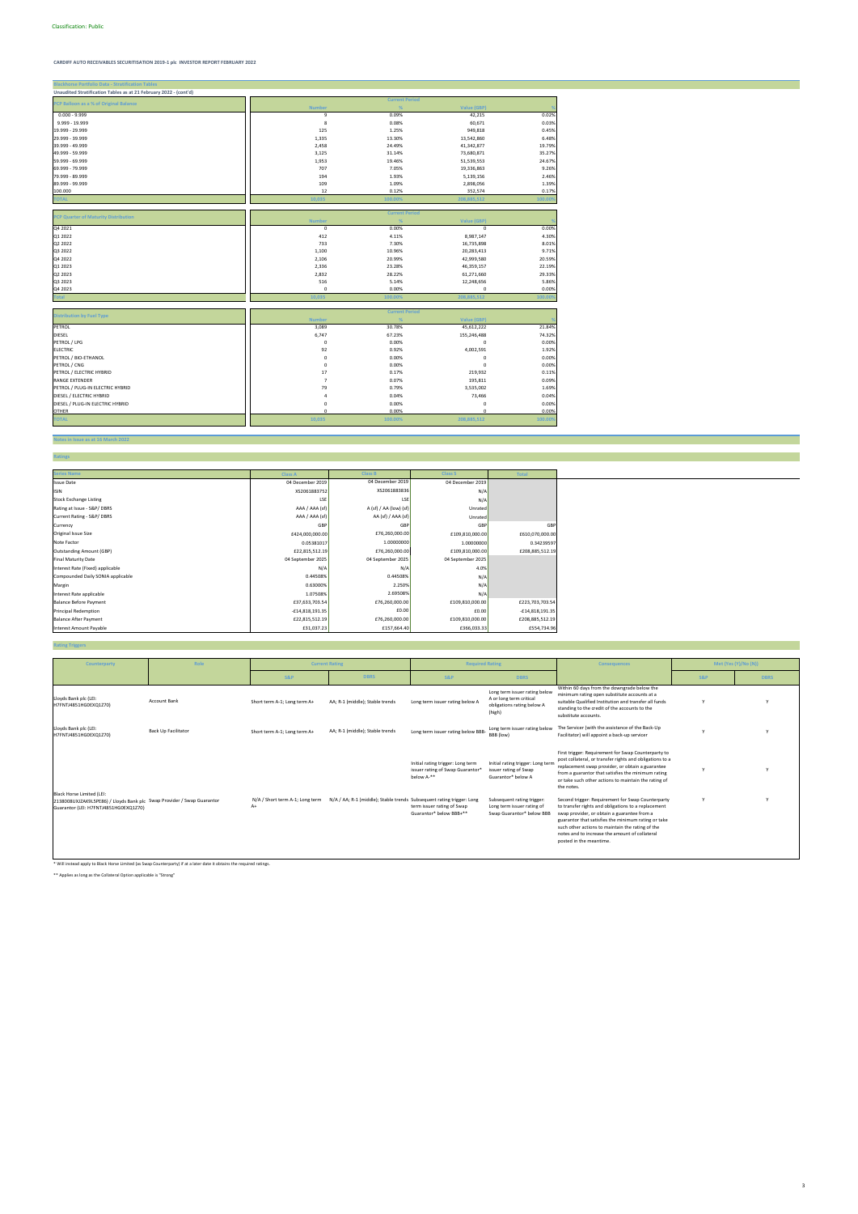**TOTAL 10,035 100.00% 208,885,512 100.00%**

#### **Notes in Issue as at 16 March 2022**

|--|

| <b>Blackhorse Portfolio Data - Stratification Tables</b>          |                |                       |                    |         |
|-------------------------------------------------------------------|----------------|-----------------------|--------------------|---------|
| Unaudited Stratification Tables as at 21 February 2022 - (cont'd) |                |                       |                    |         |
|                                                                   |                | <b>Current Period</b> |                    |         |
| PCP Balloon as a % of Original Balance                            | <b>Number</b>  | %                     | <b>Value (GBP)</b> |         |
| $0.000 - 9.999$                                                   | 9              | 0.09%                 | 42,215             | 0.02%   |
| 9.999 - 19.999                                                    | 8              | 0.08%                 | 60,671             | 0.03%   |
| 19.999 - 29.999                                                   | 125            | 1.25%                 | 949,818            | 0.45%   |
| 29.999 - 39.999                                                   | 1,335          | 13.30%                | 13,542,860         | 6.48%   |
| 39.999 - 49.999                                                   | 2,458          | 24.49%                | 41,342,877         | 19.79%  |
| 49.999 - 59.999                                                   | 3,125          | 31.14%                | 73,680,871         | 35.27%  |
| 59.999 - 69.999                                                   | 1,953          | 19.46%                | 51,539,553         | 24.67%  |
| 69.999 - 79.999                                                   | 707            | 7.05%                 | 19,336,863         | 9.26%   |
| 79.999 - 89.999                                                   | 194            | 1.93%                 | 5,139,156          | 2.46%   |
| 89.999 - 99.999                                                   | 109            | 1.09%                 | 2,898,056          | 1.39%   |
| 100.000                                                           | 12             | 0.12%                 | 352,574            | 0.17%   |
| <b>TOTAL</b>                                                      | 10,035         | 100.00%               | 208,885,512        | 100.00% |
|                                                                   |                | <b>Current Period</b> |                    |         |
| <b>PCP Quarter of Maturity Distribution</b>                       | <b>Number</b>  | %                     | <b>Value (GBP)</b> |         |
| Q4 2021                                                           | $\mathbf 0$    | 0.00%                 | 0                  | 0.00%   |
| Q1 2022                                                           | 412            | 4.11%                 | 8,987,147          | 4.30%   |
| Q2 2022                                                           | 733            | 7.30%                 | 16,735,898         | 8.01%   |
| Q3 2022                                                           | 1,100          | 10.96%                | 20,283,413         | 9.71%   |
| Q4 2022                                                           | 2,106          | 20.99%                | 42,999,580         | 20.59%  |
| Q1 2023                                                           | 2,336          | 23.28%                | 46,359,157         | 22.19%  |
| Q2 2023                                                           | 2,832          | 28.22%                | 61,271,660         | 29.33%  |
| Q3 2023                                                           | 516            | 5.14%                 | 12,248,656         | 5.86%   |
| Q4 2023                                                           | $\mathbf 0$    | 0.00%                 | 0                  | 0.00%   |
| Total                                                             | 10,035         | 100.00%               | 208,885,512        | 100.00% |
|                                                                   |                | <b>Current Period</b> |                    |         |
| <b>Distribution by Fuel Type</b>                                  | <b>Number</b>  | %                     | <b>Value (GBP)</b> |         |
| PETROL                                                            | 3,089          | 30.78%                | 45,612,222         | 21.84%  |
| DIESEL                                                            | 6,747          | 67.23%                | 155,246,488        | 74.32%  |
| PETROL / LPG                                                      | $\mathbf 0$    | 0.00%                 | $\mathsf 0$        | 0.00%   |
| <b>ELECTRIC</b>                                                   | 92             | 0.92%                 | 4,002,591          | 1.92%   |
| PETROL / BIO-ETHANOL                                              | $\mathbf 0$    | 0.00%                 | $\mathsf 0$        | 0.00%   |
| PETROL / CNG                                                      | $\mathbf 0$    | 0.00%                 | $\Omega$           | 0.00%   |
| PETROL / ELECTRIC HYBRID                                          | 17             | 0.17%                 | 219,932            | 0.11%   |
| <b>RANGE EXTENDER</b>                                             | $\overline{7}$ | 0.07%                 | 195,811            | 0.09%   |
| PETROL / PLUG-IN ELECTRIC HYBRID                                  | 79             | 0.79%                 | 3,535,002          | 1.69%   |
| DIESEL / ELECTRIC HYBRID                                          | $\overline{a}$ | 0.04%                 | 73,466             | 0.04%   |
| DIESEL / PLUG-IN ELECTRIC HYBRID                                  | 0              | 0.00%                 | 0                  | 0.00%   |
| <b>OTHER</b>                                                      | $\Omega$       | 0.00%                 | $\Omega$           | 0.00%   |

#### **Rating Triggers**

| <b>Series Name</b>                | <b>Class A</b>    | <b>Class B</b>         | <b>Class S</b>    | <b>Total</b>      |
|-----------------------------------|-------------------|------------------------|-------------------|-------------------|
| <b>Issue Date</b>                 | 04 December 2019  | 04 December 2019       | 04 December 2019  |                   |
| <b>ISIN</b>                       | XS2061883752      | XS2061883836           | N/A               |                   |
| <b>Stock Exchange Listing</b>     | LSE               | LSE                    | N/A               |                   |
| Rating at Issue - S&P/DBRS        | AAA / AAA (sf)    | A (sf) / AA (low) (sf) | Unrated           |                   |
| Current Rating - S&P/DBRS         | AAA / AAA (sf)    | AA (sf) / AAA (sf)     | Unrated           |                   |
| Currency                          | GBF               | GBP                    | GBP               | GBP               |
| Original Issue Size               | £424,000,000.00   | £76,260,000.00         | £109,810,000.00   | £610,070,000.00   |
| Note Factor                       | 0.05381017        | 1.00000000             | 1.00000000        | 0.34239597        |
| <b>Outstanding Amount (GBP)</b>   | £22,815,512.19    | £76,260,000.00         | £109,810,000.00   | £208,885,512.19   |
| <b>Final Maturity Date</b>        | 04 September 2025 | 04 September 2025      | 04 September 2025 |                   |
| Interest Rate (Fixed) applicable  | N/f               | N/f                    | 4.0%              |                   |
| Compounded Daily SONIA applicable | 0.44508%          | 0.44508%               | N/A               |                   |
| Margin                            | 0.63000%          | 2.250%                 | N/A               |                   |
| Interest Rate applicable          | 1.07508%          | 2.69508%               | N/A               |                   |
| <b>Balance Before Payment</b>     | £37,633,703.54    | £76,260,000.00         | £109,810,000.00   | £223,703,703.54   |
| <b>Principal Redemption</b>       | £14,818,191.35    | £0.00                  | £0.00             | $-£14,818,191.35$ |
| <b>Balance After Payment</b>      | £22,815,512.19    | £76,260,000.00         | £109,810,000.00   | £208,885,512.19   |
| Interest Amount Payable           | £31,037.23        | £157,664.40            | £366,033.33       | £554,734.96       |

\* Will instead apply to Black Horse Limited (as Swap Counterparty) if at a later date it obtains the required ratings.

\*\* Applies as long as the Collateral Option applicable is "Strong"

| Counterparty                                                                                                                                 | Role                | <b>Current Rating</b>                 |                                                                       | <b>Required Rating</b>                                                              |                                                                                                  | <b>Consequences</b>                                                                                                                                                                                                                                                                                                                             |                | Met (Yes (Y)/No (N)) |
|----------------------------------------------------------------------------------------------------------------------------------------------|---------------------|---------------------------------------|-----------------------------------------------------------------------|-------------------------------------------------------------------------------------|--------------------------------------------------------------------------------------------------|-------------------------------------------------------------------------------------------------------------------------------------------------------------------------------------------------------------------------------------------------------------------------------------------------------------------------------------------------|----------------|----------------------|
|                                                                                                                                              |                     | <b>S&amp;P</b>                        | <b>DBRS</b>                                                           | <b>S&amp;P</b>                                                                      | <b>DBRS</b>                                                                                      |                                                                                                                                                                                                                                                                                                                                                 | <b>S&amp;P</b> | <b>DBRS</b>          |
| Lloyds Bank plc (LEI:<br>H7FNTJ4851HG0EXQ1Z70)                                                                                               | <b>Account Bank</b> | Short term A-1; Long term A+          | AA; R-1 (middle); Stable trends                                       | Long term issuer rating below A                                                     | Long term issuer rating below<br>A or long term critical<br>obligations rating below A<br>(high) | Within 60 days from the downgrade below the<br>minimum rating open substitute accounts at a<br>suitable Qualified Institution and transfer all funds<br>standing to the credit of the accounts to the<br>substitute accounts.                                                                                                                   |                |                      |
| Lloyds Bank plc (LEI:<br>H7FNTJ4851HG0EXQ1Z70)                                                                                               | Back Up Facilitator | Short term A-1; Long term A+          | AA; R-1 (middle); Stable trends                                       | Long term issuer rating below BBB-                                                  | Long term issuer rating below<br>BBB (low)                                                       | The Servicer (with the assistance of the Back-Up<br>Facilitator) will appoint a back-up servicer                                                                                                                                                                                                                                                |                |                      |
|                                                                                                                                              |                     |                                       |                                                                       | Initial rating trigger: Long term<br>issuer rating of Swap Guarantor*<br>below A-** | Initial rating trigger: Long term<br>issuer rating of Swap<br>Guarantor* below A                 | First trigger: Requirement for Swap Counterparty to<br>post collateral, or transfer rights and obligations to a<br>replacement swap provider, or obtain a guarantee<br>from a guarantor that satisfies the minimum rating<br>or take such other actions to maintain the rating of<br>the notes.                                                 |                |                      |
| Black Horse Limited (LEI:<br>2138008UXJZAK9L5PE86) / Lloyds Bank plc Swap Provider / Swap Guarantor<br>Guarantor (LEI: H7FNTJ4851HG0EXQ1Z70) |                     | N/A / Short term A-1; Long term<br>A+ | N/A / AA; R-1 (middle); Stable trends Subsequent rating trigger: Long | term issuer rating of Swap<br>Guarantor* below BBB+**                               | Subsequent rating trigger:<br>Long term issuer rating of<br>Swap Guarantor* below BBB            | Second trigger: Requirement for Swap Counterparty<br>to transfer rights and obligations to a replacement<br>swap provider, or obtain a guarantee from a<br>guarantor that satisfies the minimum rating or take<br>such other actions to maintain the rating of the<br>notes and to increase the amount of collateral<br>posted in the meantime. |                |                      |

3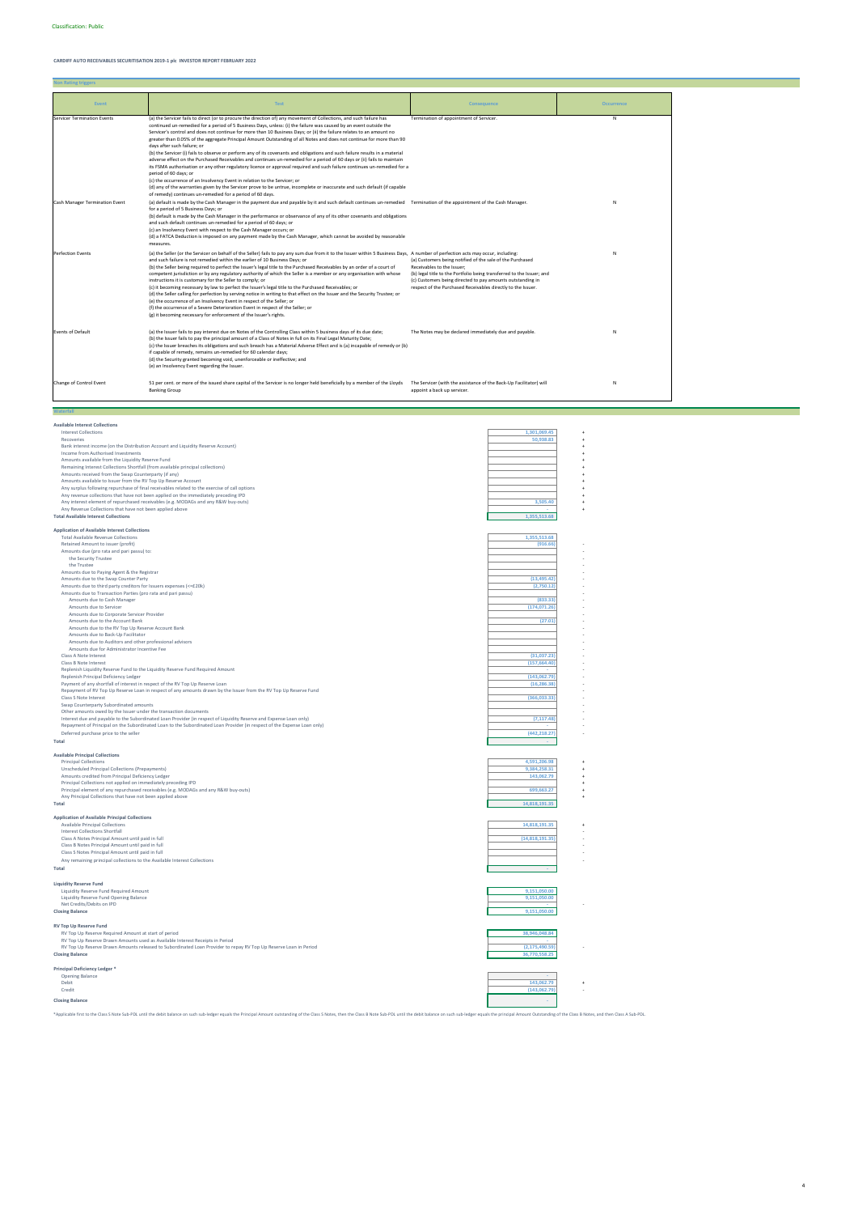**Non Rating triggers**

**Waterfall**

**Available Interest Collections**

| Available like est concentris                                                                                           |                 |
|-------------------------------------------------------------------------------------------------------------------------|-----------------|
| <b>Interest Collections</b>                                                                                             | 1,301,069.45    |
| Recoveries                                                                                                              | 50,938.83       |
| Bank interest income (on the Distribution Account and Liquidity Reserve Account)                                        |                 |
| Income from Authorised Investments                                                                                      |                 |
| Amounts available from the Liquidity Reserve Fund                                                                       |                 |
| Remaining Interest Collections Shortfall (from available principal collections)                                         |                 |
| Amounts received from the Swap Counterparty (if any)                                                                    |                 |
| Amounts available to Issuer from the RV Top Up Reserve Account                                                          |                 |
| Any surplus following repurchase of final receivables related to the exercise of call options                           |                 |
| Any revenue collections that have not been applied on the immediately preceding IPD                                     |                 |
|                                                                                                                         | 3,505.40        |
| Any interest element of repurchased receivables (e.g. MODAGs and any R&W buy-outs)                                      |                 |
| Any Revenue Collections that have not been applied above                                                                |                 |
| <b>Total Available Interest Collections</b>                                                                             | 1,355,513.68    |
|                                                                                                                         |                 |
| <b>Application of Available Interest Collections</b>                                                                    |                 |
| <b>Total Available Revenue Collections</b>                                                                              | 1,355,513.68    |
| Retained Amount to issuer (profit)                                                                                      | (916.66)        |
| Amounts due (pro rata and pari passu) to:                                                                               |                 |
| the Security Trustee                                                                                                    |                 |
| the Trustee                                                                                                             |                 |
| Amounts due to Paying Agent & the Registrar                                                                             |                 |
| Amounts due to the Swap Counter Party                                                                                   | (13, 495.42)    |
| Amounts due to third party creditors for Issuers expenses (<=£20k)                                                      | (2,750.12)      |
| Amounts due to Transaction Parties (pro rata and pari passu)                                                            |                 |
|                                                                                                                         |                 |
| Amounts due to Cash Manager                                                                                             | (833.33)        |
| Amounts due to Servicer                                                                                                 | (174, 071.26)   |
| Amounts due to Corporate Servicer Provider                                                                              |                 |
| Amounts due to the Account Bank                                                                                         | (27.01)         |
| Amounts due to the RV Top Up Reserve Account Bank                                                                       |                 |
| Amounts due to Back-Up Facilitator                                                                                      |                 |
| Amounts due to Auditors and other professional advisors                                                                 |                 |
| Amounts due for Administrator Incentive Fee                                                                             |                 |
| Class A Note Interest                                                                                                   | (31,037.23)     |
| Class B Note Interest                                                                                                   | (157, 664.40)   |
|                                                                                                                         |                 |
| Replenish Liquidity Reserve Fund to the Liquidity Reserve Fund Required Amount                                          |                 |
| Replenish Principal Deficiency Ledger                                                                                   | (143,062.79)    |
| Payment of any shortfall of interest in respect of the RV Top Up Reserve Loan                                           | (16, 286.38)    |
| Repayment of RV Top Up Reserve Loan in respect of any amounts drawn by the Issuer from the RV Top Up Reserve Fund       |                 |
| Class S Note Interest                                                                                                   | (366, 033.33)   |
| Swap Counterparty Subordinated amounts                                                                                  |                 |
| Other amounts owed by the Issuer under the transaction documents                                                        |                 |
| Interest due and payable to the Subordinated Loan Provider (in respect of Liquidity Reserve and Expense Loan only)      | (7, 117.48)     |
| Repayment of Principal on the Subordinated Loan to the Subordinated Loan Provider (in respect of the Expense Loan only) |                 |
| Deferred purchase price to the seller                                                                                   | (442, 218.27)   |
|                                                                                                                         |                 |
| <b>Total</b>                                                                                                            |                 |
|                                                                                                                         |                 |
| <b>Available Principal Collections</b>                                                                                  |                 |
| <b>Principal Collections</b>                                                                                            | 4,591,206.98    |
| Unscheduled Principal Collections (Prepayments)                                                                         | 9,384,258.31    |
| Amounts credited from Principal Deficiency Ledger                                                                       | 143,062.79      |
| Principal Collections not applied on immediately preceding IPD                                                          |                 |
| Principal element of any repurchased receivables (e.g. MODAGs and any R&W buy-outs)                                     | 699,663.27      |
| Any Principal Collections that have not been applied above                                                              |                 |
| Total                                                                                                                   | 14.818.191.35   |
|                                                                                                                         |                 |
| <b>Application of Available Principal Collections</b>                                                                   |                 |
| Available Principal Collections                                                                                         | 14,818,191.35   |
| Interest Collections Shortfall                                                                                          |                 |
|                                                                                                                         | (14.818.191.35) |
| Class A Notes Principal Amount until paid in full                                                                       |                 |
| Class B Notes Principal Amount until paid in full                                                                       |                 |
| Class S Notes Principal Amount until paid in full                                                                       |                 |
| Any remaining principal collections to the Available Interest Collections                                               |                 |
| <b>Total</b>                                                                                                            |                 |
|                                                                                                                         |                 |

# **Liquidity Reserve Fund**

| Liquidity Reserve Fund Opening Balance<br>9.151.050.00<br>Net Credits/Debits on IPD<br><b>Closing Balance</b><br>9.151.050.00 | Liquidity Reserve Fund Required Amount | 9.151.050.00 |  |
|-------------------------------------------------------------------------------------------------------------------------------|----------------------------------------|--------------|--|
|                                                                                                                               |                                        |              |  |
|                                                                                                                               |                                        |              |  |
|                                                                                                                               |                                        |              |  |

## **RV Top Up Reserve Fund**

| $1.7.7.79$ $0.9.7.75$ $0.7.75.7$ $0.7.75$                                                                        |                  |  |
|------------------------------------------------------------------------------------------------------------------|------------------|--|
| RV Top Up Reserve Required Amount at start of period                                                             | 38,946,048.84    |  |
| RV Top Up Reserve Drawn Amounts used as Available Interest Receipts in Period                                    |                  |  |
| RV Top Up Reserve Drawn Amounts released to Subordinated Loan Provider to repay RV Top Up Reserve Loan in Period | (2, 175, 490.59) |  |
| <b>Closing Balance</b>                                                                                           | 36,770,558.25    |  |
|                                                                                                                  |                  |  |
| Principal Deficiency Ledger <sup>*</sup>                                                                         |                  |  |
| <b>Opening Balance</b>                                                                                           |                  |  |
| Debit                                                                                                            | 143,062.79       |  |
| Credit                                                                                                           | (143,062.79)     |  |
| <b>Closing Balance</b>                                                                                           |                  |  |

\*Applicable first to the Class S Note Sub-PDL until the debit balance on such sub-ledger equals the Principal Amount outstanding of the Class S Notes, then the Class B Note Sub-PDL until the debit balance on such sub-ledge

| <b>Event</b>                       | <b>Test</b>                                                                                                                                                                                                                                                                                                                                                                                                                                                                                                                                                                                                                                                                                                                                                                                                                                                                                                                                                                                                                                                                                                                                                                                                    | <b>Consequence</b>                                                                                                                                                                                                                                                                             | <b>Occurrence</b> |
|------------------------------------|----------------------------------------------------------------------------------------------------------------------------------------------------------------------------------------------------------------------------------------------------------------------------------------------------------------------------------------------------------------------------------------------------------------------------------------------------------------------------------------------------------------------------------------------------------------------------------------------------------------------------------------------------------------------------------------------------------------------------------------------------------------------------------------------------------------------------------------------------------------------------------------------------------------------------------------------------------------------------------------------------------------------------------------------------------------------------------------------------------------------------------------------------------------------------------------------------------------|------------------------------------------------------------------------------------------------------------------------------------------------------------------------------------------------------------------------------------------------------------------------------------------------|-------------------|
| <b>Servicer Termination Events</b> | (a) the Servicer fails to direct (or to procure the direction of) any movement of Collections, and such failure has<br>continued un-remedied for a period of 5 Business Days, unless: (i) the failure was caused by an event outside the<br>Servicer's control and does not continue for more than 10 Business Days; or (ii) the failure relates to an amount no<br>greater than 0.05% of the aggregate Principal Amount Outstanding of all Notes and does not continue for more than 90<br>days after such failure; or<br>(b) the Servicer (i) fails to observe or perform any of its covenants and obligations and such failure results in a material<br>adverse effect on the Purchased Receivables and continues un-remedied for a period of 60 days or (ii) fails to maintain<br>its FSMA authorisation or any other regulatory licence or approval required and such failure continues un-remedied for a<br>period of 60 days: or<br>(c) the occurrence of an Insolvency Event in relation to the Servicer; or<br>(d) any of the warranties given by the Servicer prove to be untrue, incomplete or inaccurate and such default (if capable<br>of remedy) continues un-remedied for a period of 60 days. | Termination of appointment of Servicer.                                                                                                                                                                                                                                                        | N                 |
| Cash Manager Termination Event     | (a) default is made by the Cash Manager in the payment due and payable by it and such default continues un-remedied Termination of the appointment of the Cash Manager.<br>for a period of 5 Business Days; or<br>(b) default is made by the Cash Manager in the performance or observance of any of its other covenants and obligations<br>and such default continues un-remedied for a period of 60 days; or<br>(c) an Insolvency Event with respect to the Cash Manager occurs; or<br>(d) a FATCA Deduction is imposed on any payment made by the Cash Manager, which cannot be avoided by reasonable<br>measures.                                                                                                                                                                                                                                                                                                                                                                                                                                                                                                                                                                                          |                                                                                                                                                                                                                                                                                                | N                 |
| <b>Perfection Events</b>           | (a) the Seller (or the Servicer on behalf of the Seller) fails to pay any sum due from it to the Issuer within 5 Business Days, A number of perfection acts may occur, including:<br>and such failure is not remedied within the earlier of 10 Business Days; or<br>(b) the Seller being required to perfect the Issuer's legal title to the Purchased Receivables by an order of a court of<br>competent jurisdiction or by any regulatory authority of which the Seller is a member or any organisation with whose<br>instructions it is customary for the Seller to comply; or<br>(c) it becoming necessary by law to perfect the Issuer's legal title to the Purchased Receivables; or<br>(d) the Seller calling for perfection by serving notice in writing to that effect on the Issuer and the Security Trustee; or<br>(e) the occurrence of an Insolvency Event in respect of the Seller; or<br>(f) the occurrence of a Severe Deterioration Event in respect of the Seller; or<br>(g) it becoming necessary for enforcement of the Issuer's rights.                                                                                                                                                   | (a) Customers being notified of the sale of the Purchased<br>Receivables to the Issuer;<br>(b) legal title to the Portfolio being transferred to the Issuer; and<br>(c) Customers being directed to pay amounts outstanding in<br>respect of the Purchased Receivables directly to the Issuer. | N                 |
| <b>Events of Default</b>           | (a) the Issuer fails to pay interest due on Notes of the Controlling Class within 5 business days of its due date;<br>(b) the Issuer fails to pay the principal amount of a Class of Notes in full on its Final Legal Maturity Date;<br>(c) the Issuer breaches its obligations and such breach has a Material Adverse Effect and is (a) incapable of remedy or (b)<br>if capable of remedy, remains un-remedied for 60 calendar days;<br>(d) the Security granted becoming void, unenforceable or ineffective; and<br>(e) an Insolvency Event regarding the Issuer.                                                                                                                                                                                                                                                                                                                                                                                                                                                                                                                                                                                                                                           | The Notes may be declared immediately due and payable.                                                                                                                                                                                                                                         | N                 |
| Change of Control Event            | 51 per cent. or more of the issued share capital of the Servicer is no longer held beneficially by a member of the Lloyds<br><b>Banking Group</b>                                                                                                                                                                                                                                                                                                                                                                                                                                                                                                                                                                                                                                                                                                                                                                                                                                                                                                                                                                                                                                                              | The Servicer (with the assistance of the Back-Up Facilitator) will<br>appoint a back up servicer.                                                                                                                                                                                              | N                 |